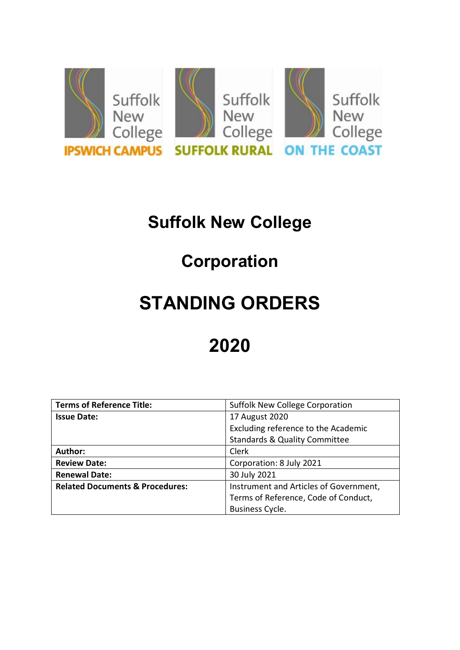

# **Suffolk New College**

## **Corporation**

# **STANDING ORDERS**

# **2020**

| <b>Terms of Reference Title:</b>           | Suffolk New College Corporation          |  |
|--------------------------------------------|------------------------------------------|--|
| <b>Issue Date:</b>                         | 17 August 2020                           |  |
|                                            | Excluding reference to the Academic      |  |
|                                            | <b>Standards &amp; Quality Committee</b> |  |
| Author:                                    | Clerk                                    |  |
| <b>Review Date:</b>                        | Corporation: 8 July 2021                 |  |
| <b>Renewal Date:</b>                       | 30 July 2021                             |  |
| <b>Related Documents &amp; Procedures:</b> | Instrument and Articles of Government,   |  |
|                                            | Terms of Reference, Code of Conduct,     |  |
|                                            | Business Cycle.                          |  |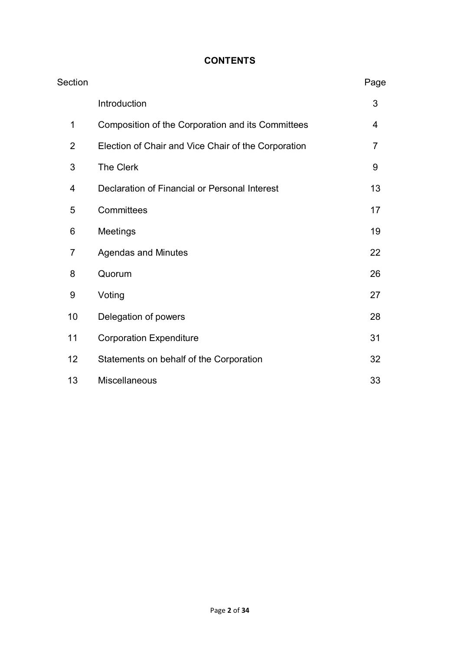#### **CONTENTS**

| Section        |                                                     | Page           |
|----------------|-----------------------------------------------------|----------------|
|                | Introduction                                        | 3              |
| 1              | Composition of the Corporation and its Committees   | 4              |
| $\overline{2}$ | Election of Chair and Vice Chair of the Corporation | $\overline{7}$ |
| 3              | <b>The Clerk</b>                                    | 9              |
| 4              | Declaration of Financial or Personal Interest       | 13             |
| 5              | Committees                                          | 17             |
| 6              | Meetings                                            | 19             |
| 7              | <b>Agendas and Minutes</b>                          | 22             |
| 8              | Quorum                                              | 26             |
| 9              | Voting                                              | 27             |
| 10             | Delegation of powers                                | 28             |
| 11             | <b>Corporation Expenditure</b>                      | 31             |
| 12             | Statements on behalf of the Corporation             | 32             |
| 13             | Miscellaneous                                       | 33             |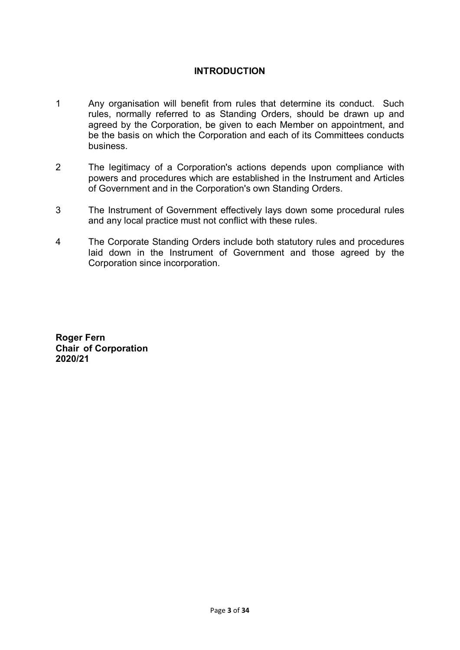#### **INTRODUCTION**

- 1 Any organisation will benefit from rules that determine its conduct. Such rules, normally referred to as Standing Orders, should be drawn up and agreed by the Corporation, be given to each Member on appointment, and be the basis on which the Corporation and each of its Committees conducts business.
- 2 The legitimacy of a Corporation's actions depends upon compliance with powers and procedures which are established in the Instrument and Articles of Government and in the Corporation's own Standing Orders.
- 3 The Instrument of Government effectively lays down some procedural rules and any local practice must not conflict with these rules.
- 4 The Corporate Standing Orders include both statutory rules and procedures laid down in the Instrument of Government and those agreed by the Corporation since incorporation.

**Roger Fern Chair of Corporation 2020/21**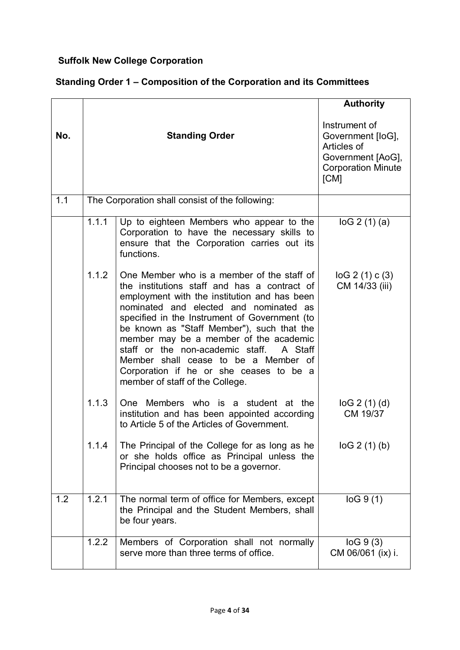#### **Suffolk New College Corporation**

#### **Standing Order 1 – Composition of the Corporation and its Committees**

|     |       |                                                                                                                                                                                                                                                                                                                                                                                                                                                                                                 | <b>Authority</b>                                                                                            |
|-----|-------|-------------------------------------------------------------------------------------------------------------------------------------------------------------------------------------------------------------------------------------------------------------------------------------------------------------------------------------------------------------------------------------------------------------------------------------------------------------------------------------------------|-------------------------------------------------------------------------------------------------------------|
| No. |       | <b>Standing Order</b>                                                                                                                                                                                                                                                                                                                                                                                                                                                                           | Instrument of<br>Government [loG],<br>Articles of<br>Government [AoG],<br><b>Corporation Minute</b><br>[CM] |
| 1.1 |       | The Corporation shall consist of the following:                                                                                                                                                                                                                                                                                                                                                                                                                                                 |                                                                                                             |
|     | 1.1.1 | Up to eighteen Members who appear to the<br>Corporation to have the necessary skills to<br>ensure that the Corporation carries out its<br>functions.                                                                                                                                                                                                                                                                                                                                            | log 2(1)(a)                                                                                                 |
|     | 1.1.2 | One Member who is a member of the staff of<br>the institutions staff and has a contract of<br>employment with the institution and has been<br>nominated and elected and nominated as<br>specified in the Instrument of Government (to<br>be known as "Staff Member"), such that the<br>member may be a member of the academic<br>staff or the non-academic staff. A Staff<br>Member shall cease to be a Member of<br>Corporation if he or she ceases to be a<br>member of staff of the College. | $log 2(1)$ c(3)<br>CM 14/33 (iii)                                                                           |
|     | 1.1.3 | One Members who is a student at the<br>institution and has been appointed according<br>to Article 5 of the Articles of Government.                                                                                                                                                                                                                                                                                                                                                              | log 2(1)(d)<br>CM 19/37                                                                                     |
|     | 1.1.4 | The Principal of the College for as long as he<br>or she holds office as Principal unless the<br>Principal chooses not to be a governor.                                                                                                                                                                                                                                                                                                                                                        | log 2(1)(b)                                                                                                 |
| 1.2 | 1.2.1 | The normal term of office for Members, except<br>the Principal and the Student Members, shall<br>be four years.                                                                                                                                                                                                                                                                                                                                                                                 | log 9(1)                                                                                                    |
|     | 1.2.2 | Members of Corporation shall not normally<br>serve more than three terms of office.                                                                                                                                                                                                                                                                                                                                                                                                             | log 9(3)<br>CM 06/061 (ix) i.                                                                               |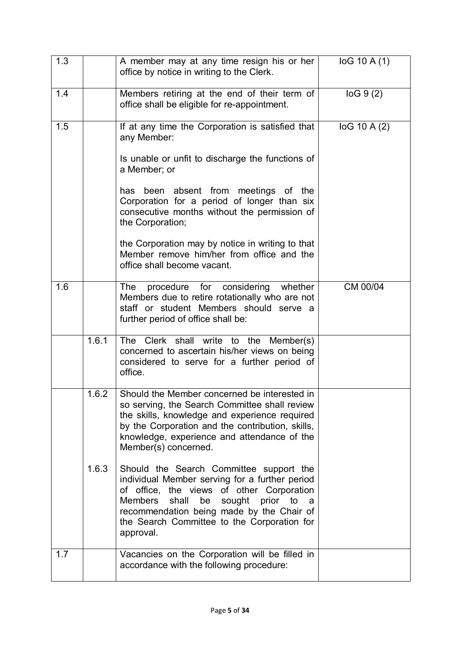| 1.3 |       | A member may at any time resign his or her<br>office by notice in writing to the Clerk.                                                                                                                                                                                                                     | log 10 A(1)  |
|-----|-------|-------------------------------------------------------------------------------------------------------------------------------------------------------------------------------------------------------------------------------------------------------------------------------------------------------------|--------------|
| 1.4 |       | Members retiring at the end of their term of<br>office shall be eligible for re-appointment.                                                                                                                                                                                                                | log 9(2)     |
| 1.5 |       | If at any time the Corporation is satisfied that<br>any Member:<br>Is unable or unfit to discharge the functions of<br>a Member; or                                                                                                                                                                         | log 10 A (2) |
|     |       | been absent from meetings of the<br>has<br>Corporation for a period of longer than six<br>consecutive months without the permission of<br>the Corporation;                                                                                                                                                  |              |
|     |       | the Corporation may by notice in writing to that<br>Member remove him/her from office and the<br>office shall become vacant.                                                                                                                                                                                |              |
| 1.6 |       | procedure<br>for considering<br>whether<br><b>The</b><br>Members due to retire rotationally who are not<br>staff or student Members should serve a<br>further period of office shall be:                                                                                                                    | CM 00/04     |
|     | 1.6.1 | The Clerk shall write to the Member(s)<br>concerned to ascertain his/her views on being<br>considered to serve for a further period of<br>office.                                                                                                                                                           |              |
|     | 1.6.2 | Should the Member concerned be interested in<br>so serving, the Search Committee shall review<br>the skills, knowledge and experience required<br>by the Corporation and the contribution, skills,<br>knowledge, experience and attendance of the<br>Member(s) concerned.                                   |              |
|     | 1.6.3 | Should the Search Committee support the<br>individual Member serving for a further period<br>of office, the views of other Corporation<br><b>Members</b><br>sought<br>shall<br>be<br>prior to<br>a<br>recommendation being made by the Chair of<br>the Search Committee to the Corporation for<br>approval. |              |
| 1.7 |       | Vacancies on the Corporation will be filled in<br>accordance with the following procedure:                                                                                                                                                                                                                  |              |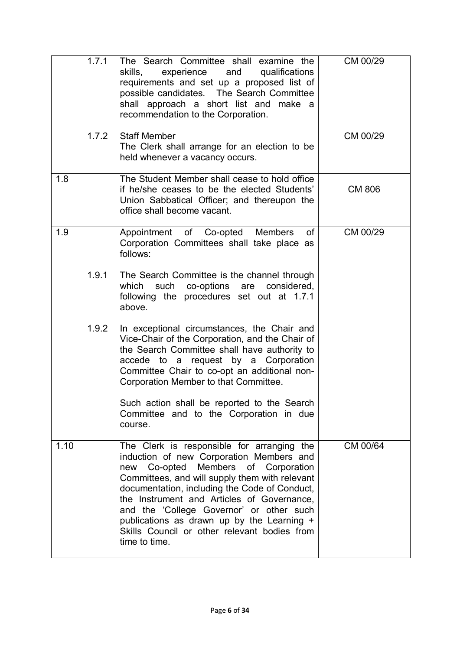|      | 1.7.1 | The Search Committee shall examine the<br>skills,<br>experience<br>and<br>qualifications<br>requirements and set up a proposed list of<br>possible candidates. The Search Committee<br>shall approach a short list and make a<br>recommendation to the Corporation.                                                                                                                                                                          | CM 00/29      |
|------|-------|----------------------------------------------------------------------------------------------------------------------------------------------------------------------------------------------------------------------------------------------------------------------------------------------------------------------------------------------------------------------------------------------------------------------------------------------|---------------|
|      | 1.7.2 | <b>Staff Member</b><br>The Clerk shall arrange for an election to be<br>held whenever a vacancy occurs.                                                                                                                                                                                                                                                                                                                                      | CM 00/29      |
| 1.8  |       | The Student Member shall cease to hold office<br>if he/she ceases to be the elected Students'<br>Union Sabbatical Officer; and thereupon the<br>office shall become vacant.                                                                                                                                                                                                                                                                  | <b>CM 806</b> |
| 1.9  |       | of<br>Appointment of Co-opted Members<br>Corporation Committees shall take place as<br>follows:                                                                                                                                                                                                                                                                                                                                              | CM 00/29      |
|      | 1.9.1 | The Search Committee is the channel through<br>such co-options are<br>considered,<br>which<br>following the procedures set out at 1.7.1<br>above.                                                                                                                                                                                                                                                                                            |               |
|      | 1.9.2 | In exceptional circumstances, the Chair and<br>Vice-Chair of the Corporation, and the Chair of<br>the Search Committee shall have authority to<br>accede to a request by a Corporation<br>Committee Chair to co-opt an additional non-<br>Corporation Member to that Committee.                                                                                                                                                              |               |
|      |       | Such action shall be reported to the Search<br>Committee and to the Corporation in due<br>course.                                                                                                                                                                                                                                                                                                                                            |               |
| 1.10 |       | The Clerk is responsible for arranging the<br>induction of new Corporation Members and<br>Co-opted Members of Corporation<br>new<br>Committees, and will supply them with relevant<br>documentation, including the Code of Conduct,<br>the Instrument and Articles of Governance,<br>and the 'College Governor' or other such<br>publications as drawn up by the Learning +<br>Skills Council or other relevant bodies from<br>time to time. | CM 00/64      |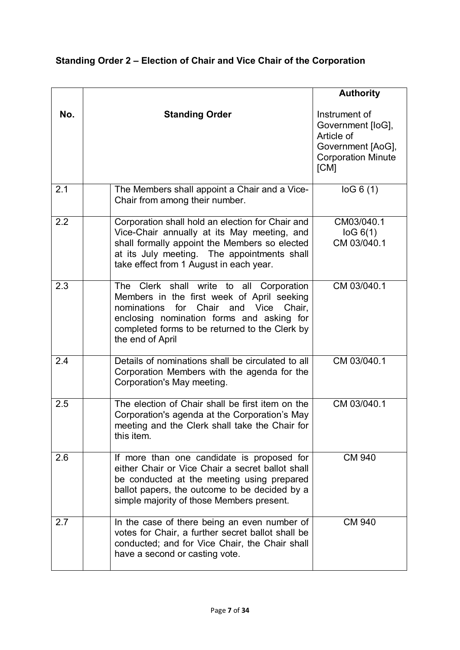|     |                                                                                                                                                                                                                                                                   | <b>Authority</b>                                                                                           |
|-----|-------------------------------------------------------------------------------------------------------------------------------------------------------------------------------------------------------------------------------------------------------------------|------------------------------------------------------------------------------------------------------------|
| No. | <b>Standing Order</b>                                                                                                                                                                                                                                             | Instrument of<br>Government [loG],<br>Article of<br>Government [AoG],<br><b>Corporation Minute</b><br>[CM] |
| 2.1 | The Members shall appoint a Chair and a Vice-<br>Chair from among their number.                                                                                                                                                                                   | log 6(1)                                                                                                   |
| 2.2 | Corporation shall hold an election for Chair and<br>Vice-Chair annually at its May meeting, and<br>shall formally appoint the Members so elected<br>at its July meeting. The appointments shall<br>take effect from 1 August in each year.                        | CM03/040.1<br>log 6(1)<br>CM 03/040.1                                                                      |
| 2.3 | The Clerk shall write to all Corporation<br>Members in the first week of April seeking<br>for<br>Chair<br>Vice<br>nominations<br>and<br>Chair.<br>enclosing nomination forms and asking for<br>completed forms to be returned to the Clerk by<br>the end of April | CM 03/040.1                                                                                                |
| 2.4 | Details of nominations shall be circulated to all<br>Corporation Members with the agenda for the<br>Corporation's May meeting.                                                                                                                                    | CM 03/040.1                                                                                                |
| 2.5 | The election of Chair shall be first item on the<br>Corporation's agenda at the Corporation's May<br>meeting and the Clerk shall take the Chair for<br>this item.                                                                                                 | CM 03/040.1                                                                                                |
| 2.6 | If more than one candidate is proposed for<br>either Chair or Vice Chair a secret ballot shall<br>be conducted at the meeting using prepared<br>ballot papers, the outcome to be decided by a<br>simple majority of those Members present.                        | <b>CM 940</b>                                                                                              |
| 2.7 | In the case of there being an even number of<br>votes for Chair, a further secret ballot shall be<br>conducted; and for Vice Chair, the Chair shall<br>have a second or casting vote.                                                                             | <b>CM 940</b>                                                                                              |

### **Standing Order 2 – Election of Chair and Vice Chair of the Corporation**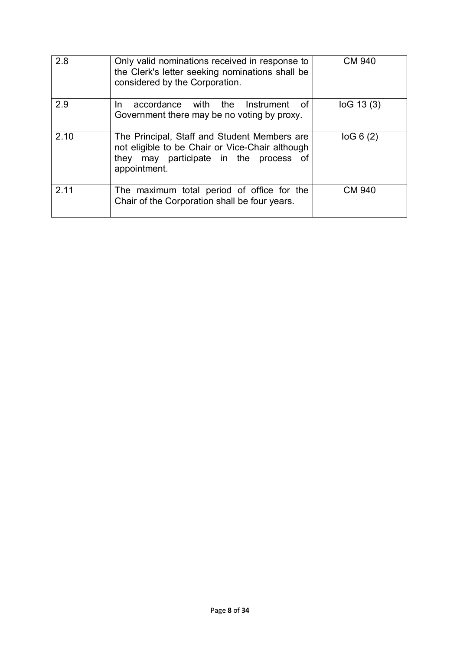| 2.8  | Only valid nominations received in response to<br>the Clerk's letter seeking nominations shall be<br>considered by the Corporation.                       | <b>CM 940</b> |
|------|-----------------------------------------------------------------------------------------------------------------------------------------------------------|---------------|
| 2.9  | accordance with the Instrument<br>of<br>In.<br>Government there may be no voting by proxy.                                                                | log 13(3)     |
| 2.10 | The Principal, Staff and Student Members are<br>not eligible to be Chair or Vice-Chair although<br>they may participate in the process of<br>appointment. | log 6(2)      |
| 2.11 | The maximum total period of office for the<br>Chair of the Corporation shall be four years.                                                               | <b>CM 940</b> |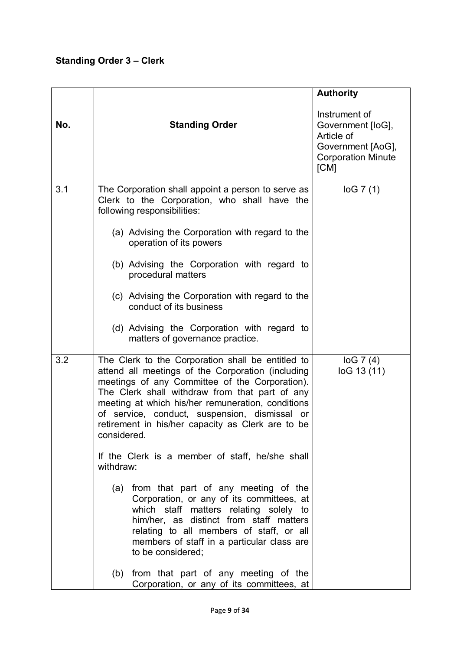### **Standing Order 3 – Clerk**

|     |                                                                                                                                                                                                                                                                                                                                                                                      | <b>Authority</b>                                                                                           |
|-----|--------------------------------------------------------------------------------------------------------------------------------------------------------------------------------------------------------------------------------------------------------------------------------------------------------------------------------------------------------------------------------------|------------------------------------------------------------------------------------------------------------|
| No. | <b>Standing Order</b>                                                                                                                                                                                                                                                                                                                                                                | Instrument of<br>Government [loG],<br>Article of<br>Government [AoG],<br><b>Corporation Minute</b><br>[CM] |
| 3.1 | The Corporation shall appoint a person to serve as<br>Clerk to the Corporation, who shall have the<br>following responsibilities:                                                                                                                                                                                                                                                    | log 7(1)                                                                                                   |
|     | (a) Advising the Corporation with regard to the<br>operation of its powers                                                                                                                                                                                                                                                                                                           |                                                                                                            |
|     | (b) Advising the Corporation with regard to<br>procedural matters                                                                                                                                                                                                                                                                                                                    |                                                                                                            |
|     | (c) Advising the Corporation with regard to the<br>conduct of its business                                                                                                                                                                                                                                                                                                           |                                                                                                            |
|     | (d) Advising the Corporation with regard to<br>matters of governance practice.                                                                                                                                                                                                                                                                                                       |                                                                                                            |
| 3.2 | The Clerk to the Corporation shall be entitled to<br>attend all meetings of the Corporation (including<br>meetings of any Committee of the Corporation).<br>The Clerk shall withdraw from that part of any<br>meeting at which his/her remuneration, conditions<br>of service, conduct, suspension, dismissal or<br>retirement in his/her capacity as Clerk are to be<br>considered. | log 7(4)<br>loG 13 (11)                                                                                    |
|     | If the Clerk is a member of staff, he/she shall<br>withdraw:                                                                                                                                                                                                                                                                                                                         |                                                                                                            |
|     | from that part of any meeting of the<br>(a)<br>Corporation, or any of its committees, at<br>which staff matters relating solely to<br>him/her, as distinct from staff matters<br>relating to all members of staff, or all<br>members of staff in a particular class are<br>to be considered;                                                                                         |                                                                                                            |
|     | from that part of any meeting of the<br>(b)<br>Corporation, or any of its committees, at                                                                                                                                                                                                                                                                                             |                                                                                                            |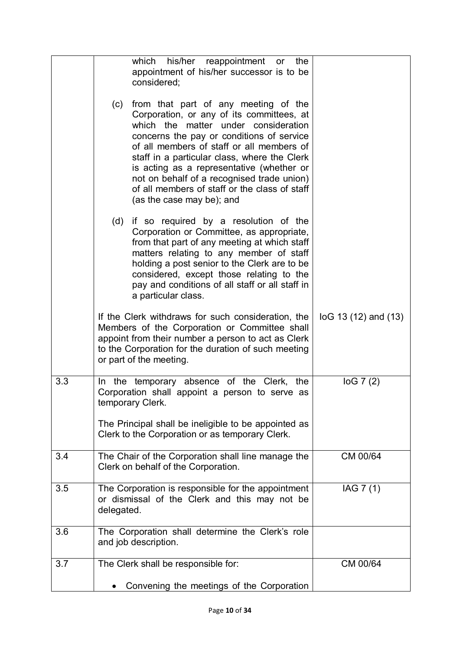|     | which<br>his/her<br>reappointment or<br>the<br>appointment of his/her successor is to be<br>considered;                                                                                                                                                                                                                                                                                                                                             |                         |
|-----|-----------------------------------------------------------------------------------------------------------------------------------------------------------------------------------------------------------------------------------------------------------------------------------------------------------------------------------------------------------------------------------------------------------------------------------------------------|-------------------------|
|     | from that part of any meeting of the<br>(c)<br>Corporation, or any of its committees, at<br>which the matter under consideration<br>concerns the pay or conditions of service<br>of all members of staff or all members of<br>staff in a particular class, where the Clerk<br>is acting as a representative (whether or<br>not on behalf of a recognised trade union)<br>of all members of staff or the class of staff<br>(as the case may be); and |                         |
|     | if so required by a resolution of the<br>(d)<br>Corporation or Committee, as appropriate,<br>from that part of any meeting at which staff<br>matters relating to any member of staff<br>holding a post senior to the Clerk are to be<br>considered, except those relating to the<br>pay and conditions of all staff or all staff in<br>a particular class.                                                                                          |                         |
|     | If the Clerk withdraws for such consideration, the<br>Members of the Corporation or Committee shall<br>appoint from their number a person to act as Clerk<br>to the Corporation for the duration of such meeting<br>or part of the meeting.                                                                                                                                                                                                         | $log 13(12)$ and $(13)$ |
| 3.3 | In the temporary absence of the Clerk, the<br>Corporation shall appoint a person to serve as<br>temporary Clerk.                                                                                                                                                                                                                                                                                                                                    | log 7(2)                |
|     | The Principal shall be ineligible to be appointed as<br>Clerk to the Corporation or as temporary Clerk.                                                                                                                                                                                                                                                                                                                                             |                         |
| 3.4 | The Chair of the Corporation shall line manage the<br>Clerk on behalf of the Corporation.                                                                                                                                                                                                                                                                                                                                                           | CM 00/64                |
| 3.5 | The Corporation is responsible for the appointment<br>or dismissal of the Clerk and this may not be<br>delegated.                                                                                                                                                                                                                                                                                                                                   | IAG 7 (1)               |
| 3.6 | The Corporation shall determine the Clerk's role<br>and job description.                                                                                                                                                                                                                                                                                                                                                                            |                         |
| 3.7 | The Clerk shall be responsible for:                                                                                                                                                                                                                                                                                                                                                                                                                 | CM 00/64                |
|     | Convening the meetings of the Corporation                                                                                                                                                                                                                                                                                                                                                                                                           |                         |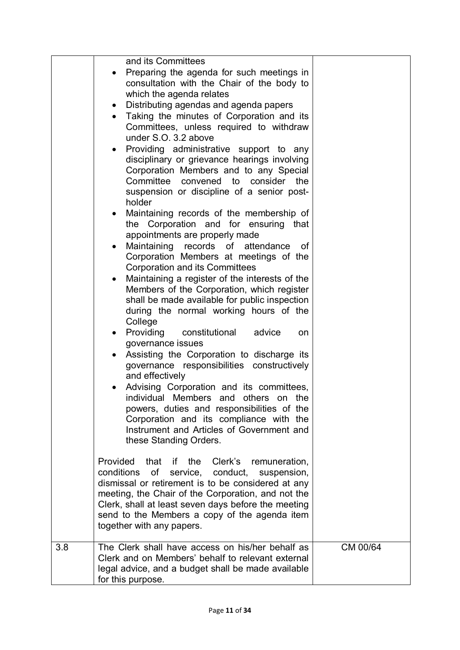|     | and its Committees                                                                                                  |          |
|-----|---------------------------------------------------------------------------------------------------------------------|----------|
|     | Preparing the agenda for such meetings in<br>consultation with the Chair of the body to<br>which the agenda relates |          |
|     | Distributing agendas and agenda papers<br>$\bullet$                                                                 |          |
|     | Taking the minutes of Corporation and its                                                                           |          |
|     | Committees, unless required to withdraw                                                                             |          |
|     | under S.O. 3.2 above                                                                                                |          |
|     | Providing administrative support to any<br>$\bullet$                                                                |          |
|     | disciplinary or grievance hearings involving<br>Corporation Members and to any Special                              |          |
|     | Committee convened to consider the                                                                                  |          |
|     | suspension or discipline of a senior post-                                                                          |          |
|     | holder                                                                                                              |          |
|     | Maintaining records of the membership of                                                                            |          |
|     | the Corporation and for ensuring that                                                                               |          |
|     | appointments are properly made<br>Maintaining records of attendance<br>0f                                           |          |
|     | Corporation Members at meetings of the                                                                              |          |
|     | <b>Corporation and its Committees</b>                                                                               |          |
|     | Maintaining a register of the interests of the<br>$\bullet$                                                         |          |
|     | Members of the Corporation, which register                                                                          |          |
|     | shall be made available for public inspection                                                                       |          |
|     | during the normal working hours of the<br>College                                                                   |          |
|     | Providing constitutional<br>advice<br>on                                                                            |          |
|     | governance issues                                                                                                   |          |
|     | Assisting the Corporation to discharge its                                                                          |          |
|     | governance responsibilities constructively                                                                          |          |
|     | and effectively                                                                                                     |          |
|     | Advising Corporation and its committees,<br>individual Members and others on the                                    |          |
|     | powers, duties and responsibilities of the                                                                          |          |
|     | Corporation and its compliance with the                                                                             |          |
|     | Instrument and Articles of Government and                                                                           |          |
|     | these Standing Orders.                                                                                              |          |
|     | Provided that if the Clerk's remuneration,                                                                          |          |
|     | of service, conduct,<br>conditions<br>suspension,                                                                   |          |
|     | dismissal or retirement is to be considered at any                                                                  |          |
|     | meeting, the Chair of the Corporation, and not the                                                                  |          |
|     | Clerk, shall at least seven days before the meeting                                                                 |          |
|     | send to the Members a copy of the agenda item<br>together with any papers.                                          |          |
|     |                                                                                                                     |          |
| 3.8 | The Clerk shall have access on his/her behalf as                                                                    | CM 00/64 |
|     | Clerk and on Members' behalf to relevant external                                                                   |          |
|     | legal advice, and a budget shall be made available<br>for this purpose.                                             |          |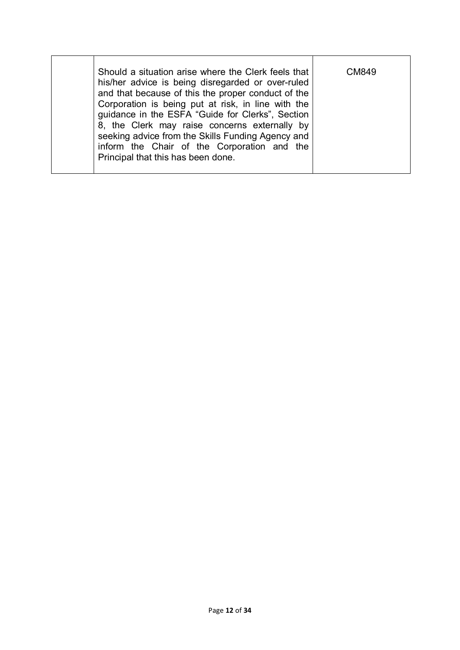| Should a situation arise where the Clerk feels that<br>his/her advice is being disregarded or over-ruled<br>and that because of this the proper conduct of the<br>Corporation is being put at risk, in line with the<br>guidance in the ESFA "Guide for Clerks", Section<br>8, the Clerk may raise concerns externally by<br>seeking advice from the Skills Funding Agency and<br>inform the Chair of the Corporation and the<br>Principal that this has been done. | CM849 |
|---------------------------------------------------------------------------------------------------------------------------------------------------------------------------------------------------------------------------------------------------------------------------------------------------------------------------------------------------------------------------------------------------------------------------------------------------------------------|-------|
|---------------------------------------------------------------------------------------------------------------------------------------------------------------------------------------------------------------------------------------------------------------------------------------------------------------------------------------------------------------------------------------------------------------------------------------------------------------------|-------|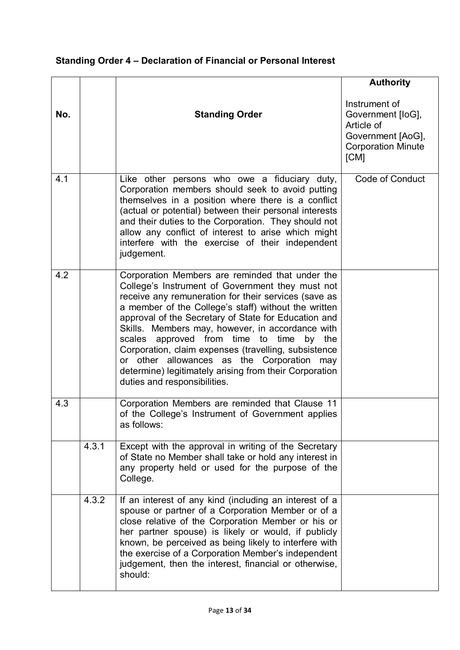### **Standing Order 4 – Declaration of Financial or Personal Interest**

|     |       |                                                                                                                                                                                                                                                                                                                                                                                                                                                                                                                                                                                | <b>Authority</b>                                                                                           |
|-----|-------|--------------------------------------------------------------------------------------------------------------------------------------------------------------------------------------------------------------------------------------------------------------------------------------------------------------------------------------------------------------------------------------------------------------------------------------------------------------------------------------------------------------------------------------------------------------------------------|------------------------------------------------------------------------------------------------------------|
| No. |       | <b>Standing Order</b>                                                                                                                                                                                                                                                                                                                                                                                                                                                                                                                                                          | Instrument of<br>Government [loG],<br>Article of<br>Government [AoG],<br><b>Corporation Minute</b><br>[CM] |
| 4.1 |       | Like other persons who owe a fiduciary duty,<br>Corporation members should seek to avoid putting<br>themselves in a position where there is a conflict<br>(actual or potential) between their personal interests<br>and their duties to the Corporation. They should not<br>allow any conflict of interest to arise which might<br>interfere with the exercise of their independent<br>judgement.                                                                                                                                                                              | <b>Code of Conduct</b>                                                                                     |
| 4.2 |       | Corporation Members are reminded that under the<br>College's Instrument of Government they must not<br>receive any remuneration for their services (save as<br>a member of the College's staff) without the written<br>approval of the Secretary of State for Education and<br>Skills. Members may, however, in accordance with<br>scales approved from time to time<br>by the<br>Corporation, claim expenses (travelling, subsistence<br>or other allowances as the Corporation may<br>determine) legitimately arising from their Corporation<br>duties and responsibilities. |                                                                                                            |
| 4.3 |       | Corporation Members are reminded that Clause 11<br>of the College's Instrument of Government applies<br>as follows:                                                                                                                                                                                                                                                                                                                                                                                                                                                            |                                                                                                            |
|     | 4.3.1 | Except with the approval in writing of the Secretary<br>of State no Member shall take or hold any interest in<br>any property held or used for the purpose of the<br>College.                                                                                                                                                                                                                                                                                                                                                                                                  |                                                                                                            |
|     | 4.3.2 | If an interest of any kind (including an interest of a<br>spouse or partner of a Corporation Member or of a<br>close relative of the Corporation Member or his or<br>her partner spouse) is likely or would, if publicly<br>known, be perceived as being likely to interfere with<br>the exercise of a Corporation Member's independent<br>judgement, then the interest, financial or otherwise,<br>should:                                                                                                                                                                    |                                                                                                            |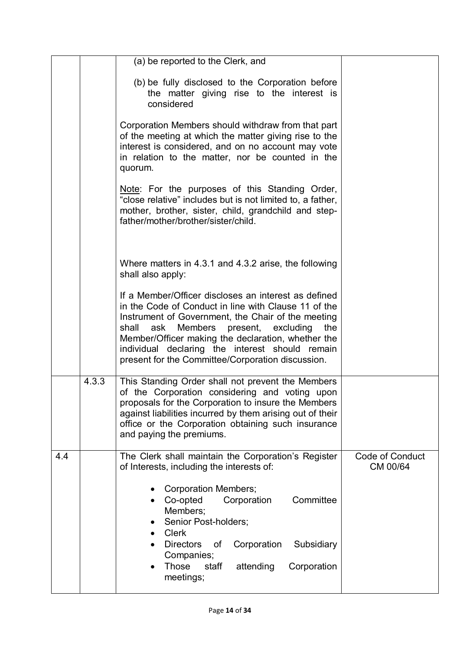|     |       | (a) be reported to the Clerk, and                                                                                                                                                                                                                                                                                                                                                           |                                    |
|-----|-------|---------------------------------------------------------------------------------------------------------------------------------------------------------------------------------------------------------------------------------------------------------------------------------------------------------------------------------------------------------------------------------------------|------------------------------------|
|     |       | (b) be fully disclosed to the Corporation before<br>the matter giving rise to the interest is<br>considered                                                                                                                                                                                                                                                                                 |                                    |
|     |       | Corporation Members should withdraw from that part<br>of the meeting at which the matter giving rise to the<br>interest is considered, and on no account may vote<br>in relation to the matter, nor be counted in the<br>quorum.                                                                                                                                                            |                                    |
|     |       | Note: For the purposes of this Standing Order,<br>"close relative" includes but is not limited to, a father,<br>mother, brother, sister, child, grandchild and step-<br>father/mother/brother/sister/child.                                                                                                                                                                                 |                                    |
|     |       | Where matters in 4.3.1 and 4.3.2 arise, the following<br>shall also apply:                                                                                                                                                                                                                                                                                                                  |                                    |
|     |       | If a Member/Officer discloses an interest as defined<br>in the Code of Conduct in line with Clause 11 of the<br>Instrument of Government, the Chair of the meeting<br>Members<br>present,<br>excluding<br>ask<br>the<br>shall<br>Member/Officer making the declaration, whether the<br>individual declaring the interest should remain<br>present for the Committee/Corporation discussion. |                                    |
|     | 4.3.3 | This Standing Order shall not prevent the Members<br>of the Corporation considering and voting upon<br>proposals for the Corporation to insure the Members<br>against liabilities incurred by them arising out of their<br>office or the Corporation obtaining such insurance<br>and paying the premiums.                                                                                   |                                    |
| 4.4 |       | The Clerk shall maintain the Corporation's Register<br>of Interests, including the interests of:                                                                                                                                                                                                                                                                                            | <b>Code of Conduct</b><br>CM 00/64 |
|     |       | <b>Corporation Members;</b><br>Corporation<br>Committee<br>Co-opted<br>Members;<br>Senior Post-holders;<br><b>Clerk</b><br><b>Directors</b><br>Corporation<br>Subsidiary<br>οf<br>Companies;<br>Those<br>staff<br>attending<br>Corporation<br>meetings;                                                                                                                                     |                                    |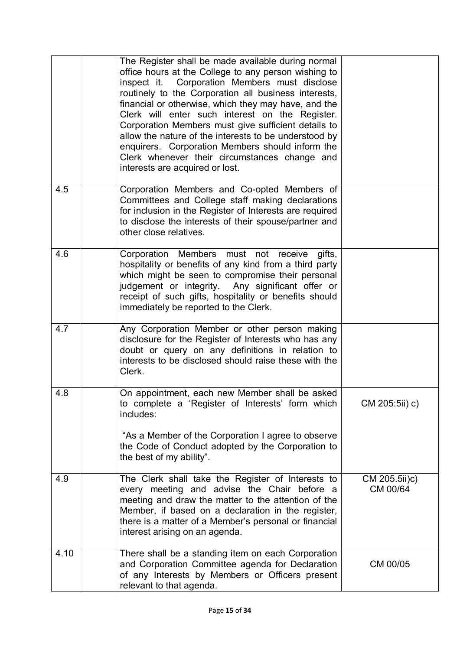|      | The Register shall be made available during normal<br>office hours at the College to any person wishing to<br>inspect it. Corporation Members must disclose<br>routinely to the Corporation all business interests,<br>financial or otherwise, which they may have, and the<br>Clerk will enter such interest on the Register.<br>Corporation Members must give sufficient details to<br>allow the nature of the interests to be understood by<br>enquirers. Corporation Members should inform the<br>Clerk whenever their circumstances change and<br>interests are acquired or lost. |                           |
|------|----------------------------------------------------------------------------------------------------------------------------------------------------------------------------------------------------------------------------------------------------------------------------------------------------------------------------------------------------------------------------------------------------------------------------------------------------------------------------------------------------------------------------------------------------------------------------------------|---------------------------|
| 4.5  | Corporation Members and Co-opted Members of<br>Committees and College staff making declarations<br>for inclusion in the Register of Interests are required<br>to disclose the interests of their spouse/partner and<br>other close relatives.                                                                                                                                                                                                                                                                                                                                          |                           |
| 4.6  | Corporation Members must not receive<br>gifts,<br>hospitality or benefits of any kind from a third party<br>which might be seen to compromise their personal<br>judgement or integrity. Any significant offer or<br>receipt of such gifts, hospitality or benefits should<br>immediately be reported to the Clerk.                                                                                                                                                                                                                                                                     |                           |
| 4.7  | Any Corporation Member or other person making<br>disclosure for the Register of Interests who has any<br>doubt or query on any definitions in relation to<br>interests to be disclosed should raise these with the<br>Clerk.                                                                                                                                                                                                                                                                                                                                                           |                           |
| 4.8  | On appointment, each new Member shall be asked<br>to complete a 'Register of Interests' form which<br>includes:<br>"As a Member of the Corporation I agree to observe<br>the Code of Conduct adopted by the Corporation to<br>the best of my ability".                                                                                                                                                                                                                                                                                                                                 | CM 205:5ii) c)            |
| 4.9  | The Clerk shall take the Register of Interests to<br>every meeting and advise the Chair before a<br>meeting and draw the matter to the attention of the<br>Member, if based on a declaration in the register,<br>there is a matter of a Member's personal or financial<br>interest arising on an agenda.                                                                                                                                                                                                                                                                               | CM 205.5ii)c)<br>CM 00/64 |
| 4.10 | There shall be a standing item on each Corporation<br>and Corporation Committee agenda for Declaration<br>of any Interests by Members or Officers present<br>relevant to that agenda.                                                                                                                                                                                                                                                                                                                                                                                                  | CM 00/05                  |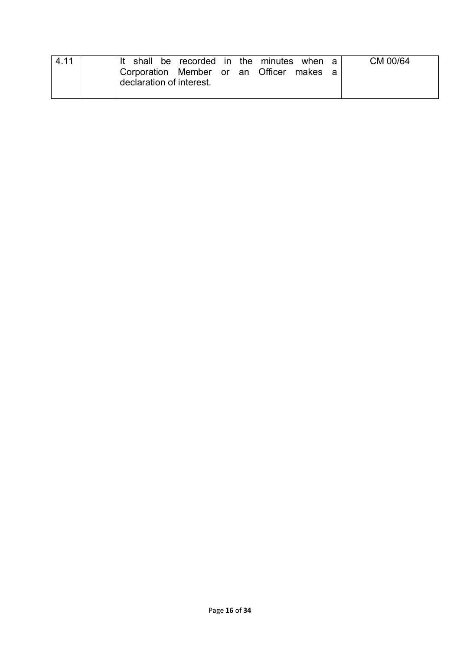| 4.11 | shall                                                        | be recorded in the minutes |  | when    | CM 00/64 |
|------|--------------------------------------------------------------|----------------------------|--|---------|----------|
|      | Corporation Member or an Officer<br>declaration of interest. |                            |  | makes a |          |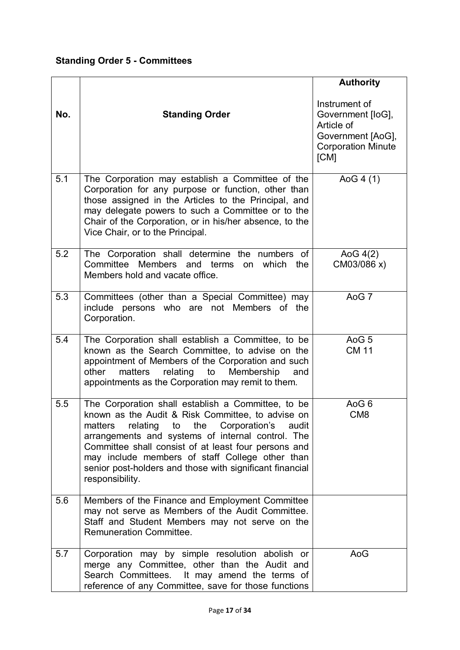#### **Standing Order 5 - Committees**

|     |                                                                                                                                                                                                                                                                                                                                                                                                          | <b>Authority</b>                                                                                           |
|-----|----------------------------------------------------------------------------------------------------------------------------------------------------------------------------------------------------------------------------------------------------------------------------------------------------------------------------------------------------------------------------------------------------------|------------------------------------------------------------------------------------------------------------|
| No. | <b>Standing Order</b>                                                                                                                                                                                                                                                                                                                                                                                    | Instrument of<br>Government [loG],<br>Article of<br>Government [AoG],<br><b>Corporation Minute</b><br>[CM] |
| 5.1 | The Corporation may establish a Committee of the<br>Corporation for any purpose or function, other than<br>those assigned in the Articles to the Principal, and<br>may delegate powers to such a Committee or to the<br>Chair of the Corporation, or in his/her absence, to the<br>Vice Chair, or to the Principal.                                                                                      | AoG $4(1)$                                                                                                 |
| 5.2 | The Corporation shall determine the numbers of<br>Committee Members and terms<br>on which<br>the<br>Members hold and vacate office.                                                                                                                                                                                                                                                                      | AoG $4(2)$<br>CM03/086 x)                                                                                  |
| 5.3 | Committees (other than a Special Committee) may<br>include persons who are<br>not Members of the<br>Corporation.                                                                                                                                                                                                                                                                                         | AoG 7                                                                                                      |
| 5.4 | The Corporation shall establish a Committee, to be<br>known as the Search Committee, to advise on the<br>appointment of Members of the Corporation and such<br>matters<br>to<br>Membership<br>other<br>relating<br>and<br>appointments as the Corporation may remit to them.                                                                                                                             | AoG <sub>5</sub><br><b>CM 11</b>                                                                           |
| 5.5 | The Corporation shall establish a Committee, to be<br>known as the Audit & Risk Committee, to advise on<br>matters relating to the Corporation's<br>audit<br>arrangements and systems of internal control. The<br>Committee shall consist of at least four persons and<br>may include members of staff College other than<br>senior post-holders and those with significant financial<br>responsibility. | AoG 6<br>CM <sub>8</sub>                                                                                   |
| 5.6 | Members of the Finance and Employment Committee<br>may not serve as Members of the Audit Committee.<br>Staff and Student Members may not serve on the<br><b>Remuneration Committee.</b>                                                                                                                                                                                                                  |                                                                                                            |
| 5.7 | Corporation may by simple resolution abolish or<br>merge any Committee, other than the Audit and<br>Search Committees. It may amend the terms of<br>reference of any Committee, save for those functions                                                                                                                                                                                                 | AoG                                                                                                        |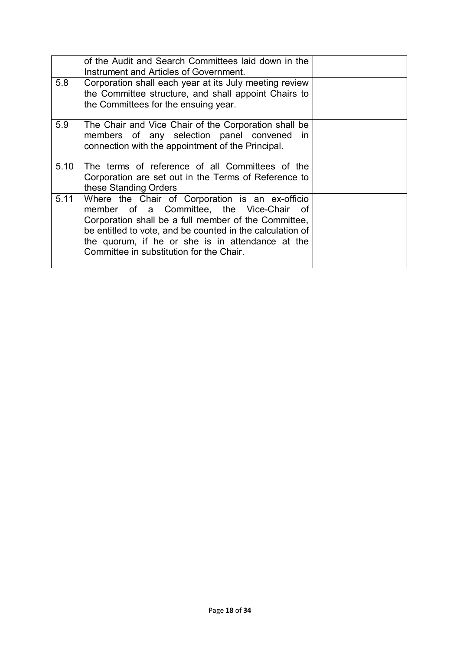|      | of the Audit and Search Committees laid down in the<br>Instrument and Articles of Government.                                                                                                                                                                                                                    |  |
|------|------------------------------------------------------------------------------------------------------------------------------------------------------------------------------------------------------------------------------------------------------------------------------------------------------------------|--|
| 5.8  | Corporation shall each year at its July meeting review<br>the Committee structure, and shall appoint Chairs to<br>the Committees for the ensuing year.                                                                                                                                                           |  |
| 5.9  | The Chair and Vice Chair of the Corporation shall be<br>members of any selection panel convened in<br>connection with the appointment of the Principal.                                                                                                                                                          |  |
| 5.10 | The terms of reference of all Committees of the<br>Corporation are set out in the Terms of Reference to<br>these Standing Orders                                                                                                                                                                                 |  |
| 5.11 | Where the Chair of Corporation is an ex-officio<br>member of a Committee, the Vice-Chair of<br>Corporation shall be a full member of the Committee,<br>be entitled to vote, and be counted in the calculation of<br>the quorum, if he or she is in attendance at the<br>Committee in substitution for the Chair. |  |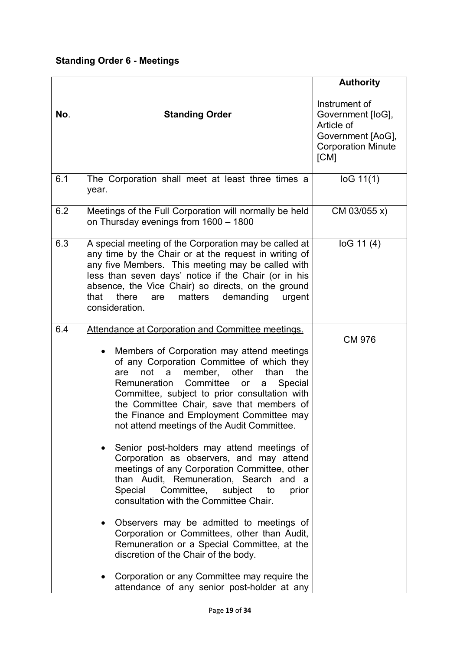### **Standing Order 6 - Meetings**

|     |                                                                                                                                                                                                                                                                                                                                                                                                                                                                                                                                                                                                                                                                                                                                                                                                                                                                                                                                                                                                                                 | <b>Authority</b>                                                                                           |
|-----|---------------------------------------------------------------------------------------------------------------------------------------------------------------------------------------------------------------------------------------------------------------------------------------------------------------------------------------------------------------------------------------------------------------------------------------------------------------------------------------------------------------------------------------------------------------------------------------------------------------------------------------------------------------------------------------------------------------------------------------------------------------------------------------------------------------------------------------------------------------------------------------------------------------------------------------------------------------------------------------------------------------------------------|------------------------------------------------------------------------------------------------------------|
| No. | <b>Standing Order</b>                                                                                                                                                                                                                                                                                                                                                                                                                                                                                                                                                                                                                                                                                                                                                                                                                                                                                                                                                                                                           | Instrument of<br>Government [loG],<br>Article of<br>Government [AoG],<br><b>Corporation Minute</b><br>[CM] |
| 6.1 | The Corporation shall meet at least three times a<br>year.                                                                                                                                                                                                                                                                                                                                                                                                                                                                                                                                                                                                                                                                                                                                                                                                                                                                                                                                                                      | log 11(1)                                                                                                  |
| 6.2 | Meetings of the Full Corporation will normally be held<br>on Thursday evenings from 1600 - 1800                                                                                                                                                                                                                                                                                                                                                                                                                                                                                                                                                                                                                                                                                                                                                                                                                                                                                                                                 | CM 03/055 x)                                                                                               |
| 6.3 | A special meeting of the Corporation may be called at<br>any time by the Chair or at the request in writing of<br>any five Members. This meeting may be called with<br>less than seven days' notice if the Chair (or in his<br>absence, the Vice Chair) so directs, on the ground<br>there<br>demanding<br>that<br>matters<br>are<br>urgent<br>consideration.                                                                                                                                                                                                                                                                                                                                                                                                                                                                                                                                                                                                                                                                   | log 11(4)                                                                                                  |
| 6.4 | Attendance at Corporation and Committee meetings.<br>Members of Corporation may attend meetings<br>$\bullet$<br>of any Corporation Committee of which they<br>other<br>than<br>the<br>not<br>member,<br>a<br>are<br>Remuneration<br>Committee<br>Special<br>or<br>a<br>Committee, subject to prior consultation with<br>the Committee Chair, save that members of<br>the Finance and Employment Committee may<br>not attend meetings of the Audit Committee.<br>Senior post-holders may attend meetings of<br>Corporation as observers, and may attend<br>meetings of any Corporation Committee, other<br>than Audit, Remuneration, Search and a<br>Committee,<br>Special<br>subject<br>to<br>prior<br>consultation with the Committee Chair.<br>Observers may be admitted to meetings of<br>Corporation or Committees, other than Audit,<br>Remuneration or a Special Committee, at the<br>discretion of the Chair of the body.<br>Corporation or any Committee may require the<br>attendance of any senior post-holder at any | <b>CM 976</b>                                                                                              |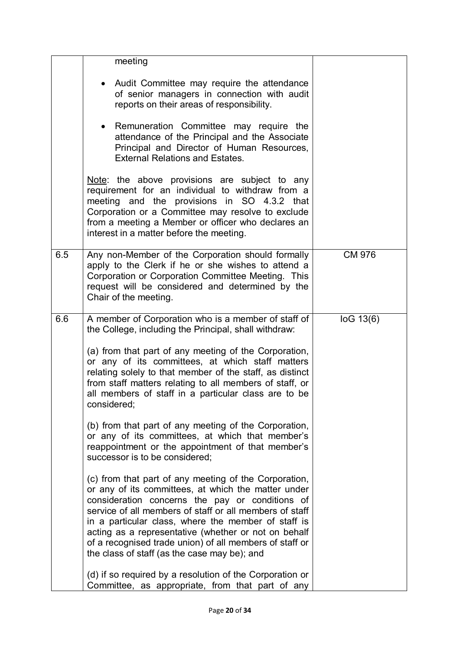|     | meeting                                                                                                                                                                                                                                                                                                                                                                                                                                              |               |
|-----|------------------------------------------------------------------------------------------------------------------------------------------------------------------------------------------------------------------------------------------------------------------------------------------------------------------------------------------------------------------------------------------------------------------------------------------------------|---------------|
|     | Audit Committee may require the attendance<br>of senior managers in connection with audit<br>reports on their areas of responsibility.                                                                                                                                                                                                                                                                                                               |               |
|     | Remuneration Committee may require the<br>$\bullet$<br>attendance of the Principal and the Associate<br>Principal and Director of Human Resources,<br><b>External Relations and Estates.</b>                                                                                                                                                                                                                                                         |               |
|     | Note: the above provisions are subject to any<br>requirement for an individual to withdraw from a<br>meeting and the provisions in SO 4.3.2 that<br>Corporation or a Committee may resolve to exclude<br>from a meeting a Member or officer who declares an<br>interest in a matter before the meeting.                                                                                                                                              |               |
| 6.5 | Any non-Member of the Corporation should formally<br>apply to the Clerk if he or she wishes to attend a<br>Corporation or Corporation Committee Meeting. This<br>request will be considered and determined by the<br>Chair of the meeting.                                                                                                                                                                                                           | <b>CM 976</b> |
| 6.6 | A member of Corporation who is a member of staff of<br>the College, including the Principal, shall withdraw:                                                                                                                                                                                                                                                                                                                                         | log 13(6)     |
|     | (a) from that part of any meeting of the Corporation,<br>or any of its committees, at which staff matters<br>relating solely to that member of the staff, as distinct<br>from staff matters relating to all members of staff, or<br>all members of staff in a particular class are to be<br>considered;                                                                                                                                              |               |
|     | (b) from that part of any meeting of the Corporation,<br>or any of its committees, at which that member's<br>reappointment or the appointment of that member's<br>successor is to be considered;                                                                                                                                                                                                                                                     |               |
|     | (c) from that part of any meeting of the Corporation,<br>or any of its committees, at which the matter under<br>consideration concerns the pay or conditions of<br>service of all members of staff or all members of staff<br>in a particular class, where the member of staff is<br>acting as a representative (whether or not on behalf<br>of a recognised trade union) of all members of staff or<br>the class of staff (as the case may be); and |               |
|     | (d) if so required by a resolution of the Corporation or<br>Committee, as appropriate, from that part of any                                                                                                                                                                                                                                                                                                                                         |               |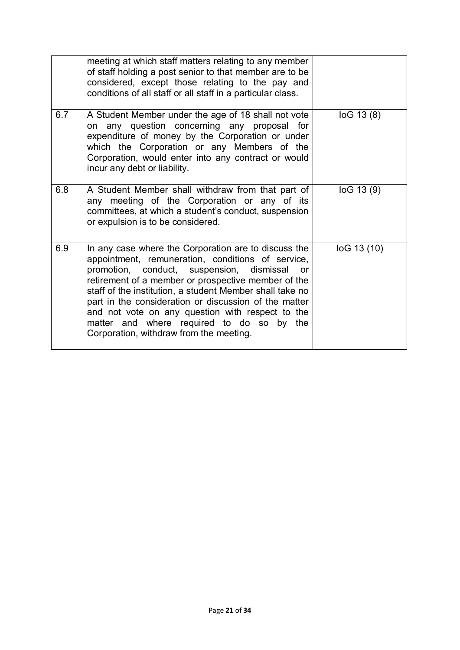|     | meeting at which staff matters relating to any member<br>of staff holding a post senior to that member are to be<br>considered, except those relating to the pay and<br>conditions of all staff or all staff in a particular class.                                                                                                                                                                                                                                                         |             |
|-----|---------------------------------------------------------------------------------------------------------------------------------------------------------------------------------------------------------------------------------------------------------------------------------------------------------------------------------------------------------------------------------------------------------------------------------------------------------------------------------------------|-------------|
| 6.7 | A Student Member under the age of 18 shall not vote<br>on any question concerning any proposal for<br>expenditure of money by the Corporation or under<br>which the Corporation or any Members of the<br>Corporation, would enter into any contract or would<br>incur any debt or liability.                                                                                                                                                                                                | log 13(8)   |
| 6.8 | A Student Member shall withdraw from that part of<br>any meeting of the Corporation or any of its<br>committees, at which a student's conduct, suspension<br>or expulsion is to be considered.                                                                                                                                                                                                                                                                                              | log 13(9)   |
| 6.9 | In any case where the Corporation are to discuss the<br>appointment, remuneration, conditions of service,<br>promotion, conduct, suspension, dismissal<br><b>or</b><br>retirement of a member or prospective member of the<br>staff of the institution, a student Member shall take no<br>part in the consideration or discussion of the matter<br>and not vote on any question with respect to the<br>matter and where required to do so by the<br>Corporation, withdraw from the meeting. | loG 13 (10) |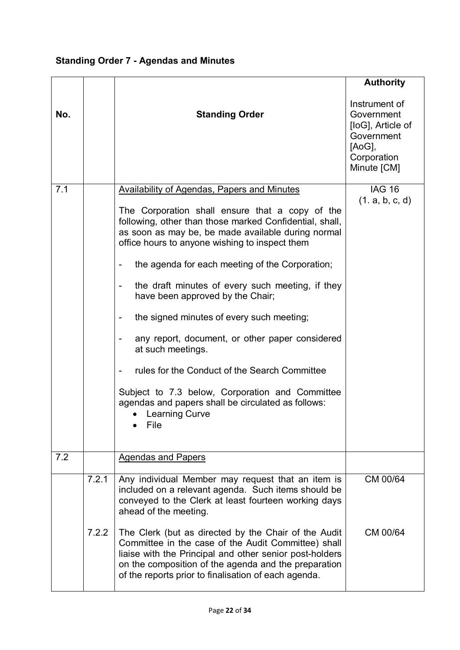### **Standing Order 7 - Agendas and Minutes**

|     |       |                                                                                                                                                                                                                                                                                        | <b>Authority</b>                                                                                       |
|-----|-------|----------------------------------------------------------------------------------------------------------------------------------------------------------------------------------------------------------------------------------------------------------------------------------------|--------------------------------------------------------------------------------------------------------|
| No. |       | <b>Standing Order</b>                                                                                                                                                                                                                                                                  | Instrument of<br>Government<br>[loG], Article of<br>Government<br>[AoG],<br>Corporation<br>Minute [CM] |
| 7.1 |       | <b>Availability of Agendas, Papers and Minutes</b>                                                                                                                                                                                                                                     | <b>IAG 16</b><br>(1. a, b, c, d)                                                                       |
|     |       | The Corporation shall ensure that a copy of the<br>following, other than those marked Confidential, shall,<br>as soon as may be, be made available during normal<br>office hours to anyone wishing to inspect them                                                                     |                                                                                                        |
|     |       | the agenda for each meeting of the Corporation;                                                                                                                                                                                                                                        |                                                                                                        |
|     |       | the draft minutes of every such meeting, if they<br>have been approved by the Chair;                                                                                                                                                                                                   |                                                                                                        |
|     |       | the signed minutes of every such meeting;                                                                                                                                                                                                                                              |                                                                                                        |
|     |       | any report, document, or other paper considered<br>at such meetings.                                                                                                                                                                                                                   |                                                                                                        |
|     |       | rules for the Conduct of the Search Committee                                                                                                                                                                                                                                          |                                                                                                        |
|     |       | Subject to 7.3 below, Corporation and Committee<br>agendas and papers shall be circulated as follows:<br><b>Learning Curve</b><br>File                                                                                                                                                 |                                                                                                        |
| 7.2 |       | <b>Agendas and Papers</b>                                                                                                                                                                                                                                                              |                                                                                                        |
|     | 7.2.1 | Any individual Member may request that an item is<br>included on a relevant agenda. Such items should be<br>conveyed to the Clerk at least fourteen working days<br>ahead of the meeting.                                                                                              | CM 00/64                                                                                               |
|     | 7.2.2 | The Clerk (but as directed by the Chair of the Audit<br>Committee in the case of the Audit Committee) shall<br>liaise with the Principal and other senior post-holders<br>on the composition of the agenda and the preparation<br>of the reports prior to finalisation of each agenda. | CM 00/64                                                                                               |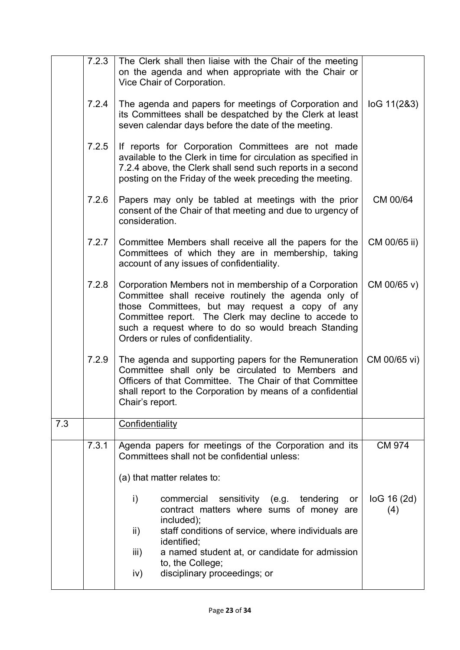|     | 7.2.3 | The Clerk shall then liaise with the Chair of the meeting<br>on the agenda and when appropriate with the Chair or<br>Vice Chair of Corporation.                                                                                                                                                                         |                    |
|-----|-------|-------------------------------------------------------------------------------------------------------------------------------------------------------------------------------------------------------------------------------------------------------------------------------------------------------------------------|--------------------|
|     | 7.2.4 | The agenda and papers for meetings of Corporation and<br>its Committees shall be despatched by the Clerk at least<br>seven calendar days before the date of the meeting.                                                                                                                                                | log 11(283)        |
|     | 7.2.5 | If reports for Corporation Committees are not made<br>available to the Clerk in time for circulation as specified in<br>7.2.4 above, the Clerk shall send such reports in a second<br>posting on the Friday of the week preceding the meeting.                                                                          |                    |
|     | 7.2.6 | Papers may only be tabled at meetings with the prior<br>consent of the Chair of that meeting and due to urgency of<br>consideration.                                                                                                                                                                                    | CM 00/64           |
|     | 7.2.7 | Committee Members shall receive all the papers for the<br>Committees of which they are in membership, taking<br>account of any issues of confidentiality.                                                                                                                                                               | CM 00/65 ii)       |
|     | 7.2.8 | Corporation Members not in membership of a Corporation<br>Committee shall receive routinely the agenda only of<br>those Committees, but may request a copy of any<br>Committee report. The Clerk may decline to accede to<br>such a request where to do so would breach Standing<br>Orders or rules of confidentiality. | CM 00/65 v)        |
|     | 7.2.9 | The agenda and supporting papers for the Remuneration<br>Committee shall only be circulated to Members and<br>Officers of that Committee. The Chair of that Committee<br>shall report to the Corporation by means of a confidential<br>Chair's report.                                                                  | CM 00/65 vi)       |
| 7.3 |       | Confidentiality                                                                                                                                                                                                                                                                                                         |                    |
|     | 7.3.1 | Agenda papers for meetings of the Corporation and its<br>Committees shall not be confidential unless:                                                                                                                                                                                                                   | <b>CM 974</b>      |
|     |       | (a) that matter relates to:                                                                                                                                                                                                                                                                                             |                    |
|     |       | sensitivity (e.g. tendering<br>i)<br>commercial<br>or<br>contract matters where sums of money are<br>included);                                                                                                                                                                                                         | log 16 (2d)<br>(4) |
|     |       | staff conditions of service, where individuals are<br>$\mathsf{ii}$ )<br>identified;                                                                                                                                                                                                                                    |                    |
|     |       | iii)<br>a named student at, or candidate for admission<br>to, the College;<br>disciplinary proceedings; or<br>iv)                                                                                                                                                                                                       |                    |
|     |       |                                                                                                                                                                                                                                                                                                                         |                    |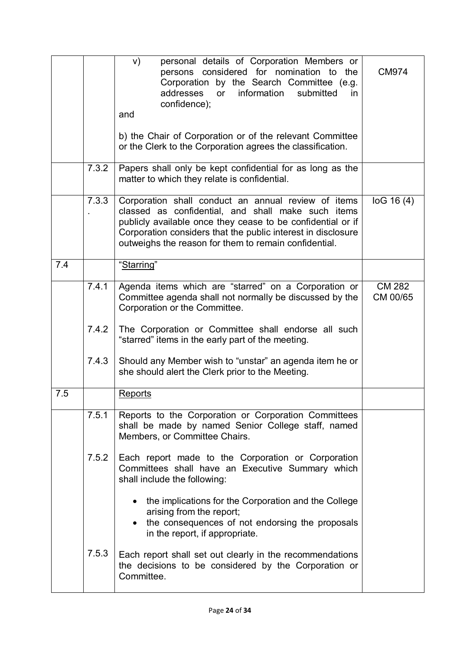|     |       | personal details of Corporation Members or<br>V)<br>persons considered for nomination to the<br>Corporation by the Search Committee (e.g.<br>information<br>addresses or<br>submitted<br>in.<br>confidence);<br>and<br>b) the Chair of Corporation or of the relevant Committee<br>or the Clerk to the Corporation agrees the classification. | <b>CM974</b>              |
|-----|-------|-----------------------------------------------------------------------------------------------------------------------------------------------------------------------------------------------------------------------------------------------------------------------------------------------------------------------------------------------|---------------------------|
|     | 7.3.2 | Papers shall only be kept confidential for as long as the<br>matter to which they relate is confidential.                                                                                                                                                                                                                                     |                           |
|     | 7.3.3 | Corporation shall conduct an annual review of items<br>classed as confidential, and shall make such items<br>publicly available once they cease to be confidential or if<br>Corporation considers that the public interest in disclosure<br>outweighs the reason for them to remain confidential.                                             | log 16(4)                 |
| 7.4 |       | "Starring"                                                                                                                                                                                                                                                                                                                                    |                           |
|     | 7.4.1 | Agenda items which are "starred" on a Corporation or<br>Committee agenda shall not normally be discussed by the<br>Corporation or the Committee.                                                                                                                                                                                              | <b>CM 282</b><br>CM 00/65 |
|     | 7.4.2 | The Corporation or Committee shall endorse all such<br>"starred" items in the early part of the meeting.                                                                                                                                                                                                                                      |                           |
|     | 7.4.3 | Should any Member wish to "unstar" an agenda item he or<br>she should alert the Clerk prior to the Meeting.                                                                                                                                                                                                                                   |                           |
| 7.5 |       | <b>Reports</b>                                                                                                                                                                                                                                                                                                                                |                           |
|     | 7.5.1 | Reports to the Corporation or Corporation Committees<br>shall be made by named Senior College staff, named<br>Members, or Committee Chairs.                                                                                                                                                                                                   |                           |
|     | 7.5.2 | Each report made to the Corporation or Corporation<br>Committees shall have an Executive Summary which<br>shall include the following:                                                                                                                                                                                                        |                           |
|     |       | the implications for the Corporation and the College<br>arising from the report;<br>• the consequences of not endorsing the proposals<br>in the report, if appropriate.                                                                                                                                                                       |                           |
|     | 7.5.3 | Each report shall set out clearly in the recommendations<br>the decisions to be considered by the Corporation or<br>Committee.                                                                                                                                                                                                                |                           |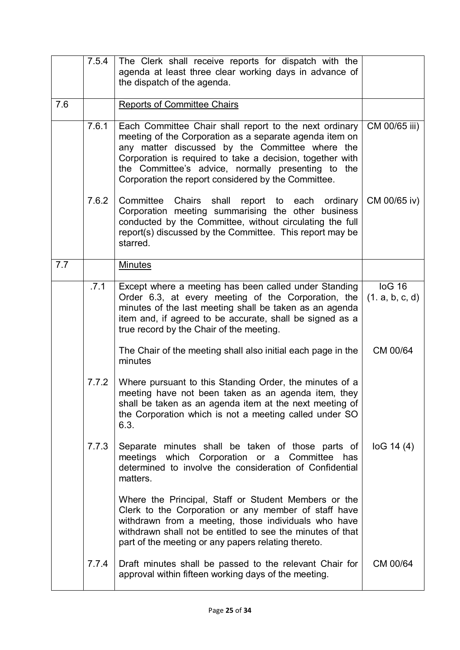|     | 7.5.4 | The Clerk shall receive reports for dispatch with the<br>agenda at least three clear working days in advance of<br>the dispatch of the agenda.                                                                                                                                                                                                 |                           |
|-----|-------|------------------------------------------------------------------------------------------------------------------------------------------------------------------------------------------------------------------------------------------------------------------------------------------------------------------------------------------------|---------------------------|
| 7.6 |       | <b>Reports of Committee Chairs</b>                                                                                                                                                                                                                                                                                                             |                           |
|     | 7.6.1 | Each Committee Chair shall report to the next ordinary<br>meeting of the Corporation as a separate agenda item on<br>any matter discussed by the Committee where the<br>Corporation is required to take a decision, together with<br>the Committee's advice, normally presenting to the<br>Corporation the report considered by the Committee. | CM 00/65 iii)             |
|     | 7.6.2 | Committee<br>Chairs shall<br>report to each ordinary<br>Corporation meeting summarising the other business<br>conducted by the Committee, without circulating the full<br>report(s) discussed by the Committee. This report may be<br>starred.                                                                                                 | CM 00/65 iv)              |
| 7.7 |       | <b>Minutes</b>                                                                                                                                                                                                                                                                                                                                 |                           |
|     | .7.1  | Except where a meeting has been called under Standing<br>Order 6.3, at every meeting of the Corporation, the<br>minutes of the last meeting shall be taken as an agenda<br>item and, if agreed to be accurate, shall be signed as a<br>true record by the Chair of the meeting.                                                                | log 16<br>(1. a, b, c, d) |
|     |       | The Chair of the meeting shall also initial each page in the<br>minutes                                                                                                                                                                                                                                                                        | CM 00/64                  |
|     | 7.7.2 | Where pursuant to this Standing Order, the minutes of a<br>meeting have not been taken as an agenda item, they<br>shall be taken as an agenda item at the next meeting of<br>the Corporation which is not a meeting called under SO<br>6.3.                                                                                                    |                           |
|     | 7.7.3 | Separate minutes shall be taken of those parts of<br>meetings which Corporation or a Committee<br>has<br>determined to involve the consideration of Confidential<br>matters.                                                                                                                                                                   | log 14(4)                 |
|     |       | Where the Principal, Staff or Student Members or the<br>Clerk to the Corporation or any member of staff have<br>withdrawn from a meeting, those individuals who have<br>withdrawn shall not be entitled to see the minutes of that<br>part of the meeting or any papers relating thereto.                                                      |                           |
|     | 7.7.4 | Draft minutes shall be passed to the relevant Chair for<br>approval within fifteen working days of the meeting.                                                                                                                                                                                                                                | CM 00/64                  |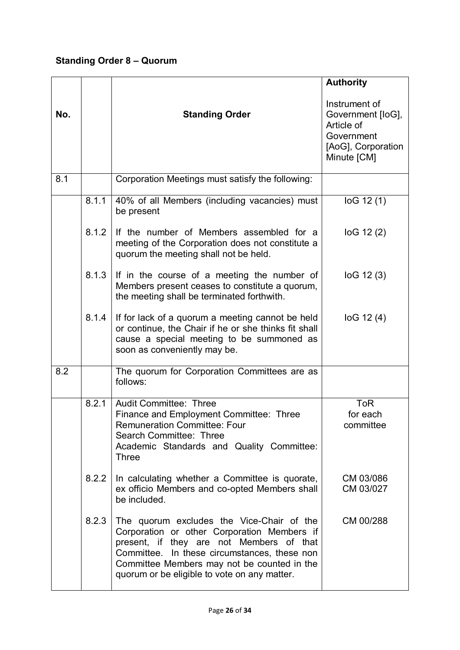### **Standing Order 8 – Quorum**

|     |       |                                                                                                                                                                                                                                                                                     | <b>Authority</b>                                                                                    |
|-----|-------|-------------------------------------------------------------------------------------------------------------------------------------------------------------------------------------------------------------------------------------------------------------------------------------|-----------------------------------------------------------------------------------------------------|
| No. |       | <b>Standing Order</b>                                                                                                                                                                                                                                                               | Instrument of<br>Government [loG],<br>Article of<br>Government<br>[AoG], Corporation<br>Minute [CM] |
| 8.1 |       | Corporation Meetings must satisfy the following:                                                                                                                                                                                                                                    |                                                                                                     |
|     | 8.1.1 | 40% of all Members (including vacancies) must<br>be present                                                                                                                                                                                                                         | log 12(1)                                                                                           |
|     | 8.1.2 | If the number of Members assembled for a<br>meeting of the Corporation does not constitute a<br>quorum the meeting shall not be held.                                                                                                                                               | log 12(2)                                                                                           |
|     | 8.1.3 | If in the course of a meeting the number of<br>Members present ceases to constitute a quorum,<br>the meeting shall be terminated forthwith.                                                                                                                                         | log 12(3)                                                                                           |
|     | 8.1.4 | If for lack of a quorum a meeting cannot be held<br>or continue, the Chair if he or she thinks fit shall<br>cause a special meeting to be summoned as<br>soon as conveniently may be.                                                                                               | log 12(4)                                                                                           |
| 8.2 |       | The quorum for Corporation Committees are as<br>follows:                                                                                                                                                                                                                            |                                                                                                     |
|     | 8.2.1 | <b>Audit Committee: Three</b><br>Finance and Employment Committee: Three<br><b>Remuneration Committee: Four</b><br>Search Committee: Three<br>Academic Standards and Quality Committee:<br><b>Three</b>                                                                             | <b>ToR</b><br>for each<br>committee                                                                 |
|     | 8.2.2 | In calculating whether a Committee is quorate,<br>ex officio Members and co-opted Members shall<br>be included.                                                                                                                                                                     | CM 03/086<br>CM 03/027                                                                              |
|     | 8.2.3 | The quorum excludes the Vice-Chair of the<br>Corporation or other Corporation Members if<br>present, if they are not Members of that<br>Committee. In these circumstances, these non<br>Committee Members may not be counted in the<br>quorum or be eligible to vote on any matter. | CM 00/288                                                                                           |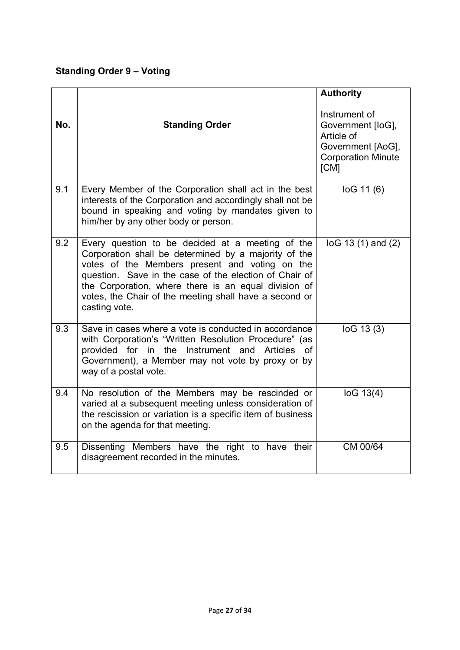#### **Standing Order 9 – Voting**

|     |                                                                                                                                                                                                                                                                                                                                                         | <b>Authority</b>                                                                                           |
|-----|---------------------------------------------------------------------------------------------------------------------------------------------------------------------------------------------------------------------------------------------------------------------------------------------------------------------------------------------------------|------------------------------------------------------------------------------------------------------------|
| No. | <b>Standing Order</b>                                                                                                                                                                                                                                                                                                                                   | Instrument of<br>Government [loG],<br>Article of<br>Government [AoG],<br><b>Corporation Minute</b><br>[CM] |
| 9.1 | Every Member of the Corporation shall act in the best<br>interests of the Corporation and accordingly shall not be<br>bound in speaking and voting by mandates given to<br>him/her by any other body or person.                                                                                                                                         | log 11(6)                                                                                                  |
| 9.2 | Every question to be decided at a meeting of the<br>Corporation shall be determined by a majority of the<br>votes of the Members present and voting on the<br>question. Save in the case of the election of Chair of<br>the Corporation, where there is an equal division of<br>votes, the Chair of the meeting shall have a second or<br>casting vote. | $log 13(1)$ and $(2)$                                                                                      |
| 9.3 | Save in cases where a vote is conducted in accordance<br>with Corporation's "Written Resolution Procedure" (as<br>provided for in the Instrument and<br><b>Articles</b><br>Ωf<br>Government), a Member may not vote by proxy or by<br>way of a postal vote.                                                                                             | log 13(3)                                                                                                  |
| 9.4 | No resolution of the Members may be rescinded or<br>varied at a subsequent meeting unless consideration of<br>the rescission or variation is a specific item of business<br>on the agenda for that meeting.                                                                                                                                             | log 13(4)                                                                                                  |
| 9.5 | Dissenting Members have the right to have their<br>disagreement recorded in the minutes.                                                                                                                                                                                                                                                                | CM 00/64                                                                                                   |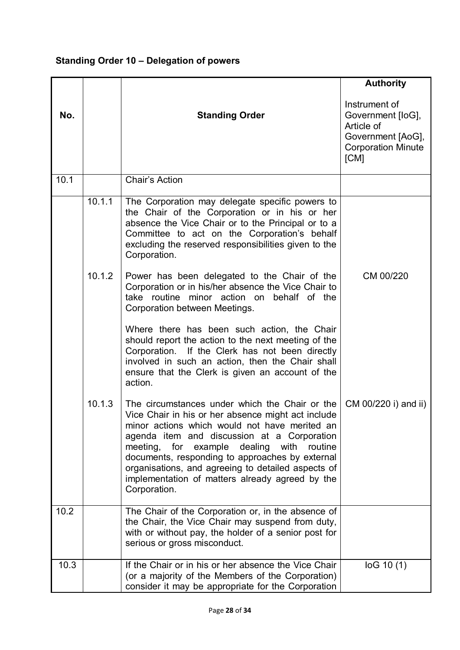### **Standing Order 10 – Delegation of powers**

|      |        |                                                                                                                                                                                                                                                                                                                                                                                                                                        | <b>Authority</b>                                                                                           |
|------|--------|----------------------------------------------------------------------------------------------------------------------------------------------------------------------------------------------------------------------------------------------------------------------------------------------------------------------------------------------------------------------------------------------------------------------------------------|------------------------------------------------------------------------------------------------------------|
| No.  |        | <b>Standing Order</b>                                                                                                                                                                                                                                                                                                                                                                                                                  | Instrument of<br>Government [loG],<br>Article of<br>Government [AoG],<br><b>Corporation Minute</b><br>[CM] |
| 10.1 |        | Chair's Action                                                                                                                                                                                                                                                                                                                                                                                                                         |                                                                                                            |
|      | 10.1.1 | The Corporation may delegate specific powers to<br>the Chair of the Corporation or in his or her<br>absence the Vice Chair or to the Principal or to a<br>Committee to act on the Corporation's behalf<br>excluding the reserved responsibilities given to the<br>Corporation.                                                                                                                                                         |                                                                                                            |
|      | 10.1.2 | Power has been delegated to the Chair of the<br>Corporation or in his/her absence the Vice Chair to<br>take routine minor action on<br>behalf of the<br>Corporation between Meetings.                                                                                                                                                                                                                                                  | CM 00/220                                                                                                  |
|      |        | Where there has been such action, the Chair<br>should report the action to the next meeting of the<br>Corporation. If the Clerk has not been directly<br>involved in such an action, then the Chair shall<br>ensure that the Clerk is given an account of the<br>action.                                                                                                                                                               |                                                                                                            |
|      | 10.1.3 | The circumstances under which the Chair or the<br>Vice Chair in his or her absence might act include<br>minor actions which would not have merited an<br>agenda item and discussion at a Corporation<br>for example dealing<br>with<br>meeting,<br>routine<br>documents, responding to approaches by external<br>organisations, and agreeing to detailed aspects of<br>implementation of matters already agreed by the<br>Corporation. | CM 00/220 i) and ii)                                                                                       |
| 10.2 |        | The Chair of the Corporation or, in the absence of<br>the Chair, the Vice Chair may suspend from duty,<br>with or without pay, the holder of a senior post for<br>serious or gross misconduct.                                                                                                                                                                                                                                         |                                                                                                            |
| 10.3 |        | If the Chair or in his or her absence the Vice Chair<br>(or a majority of the Members of the Corporation)<br>consider it may be appropriate for the Corporation                                                                                                                                                                                                                                                                        | log 10(1)                                                                                                  |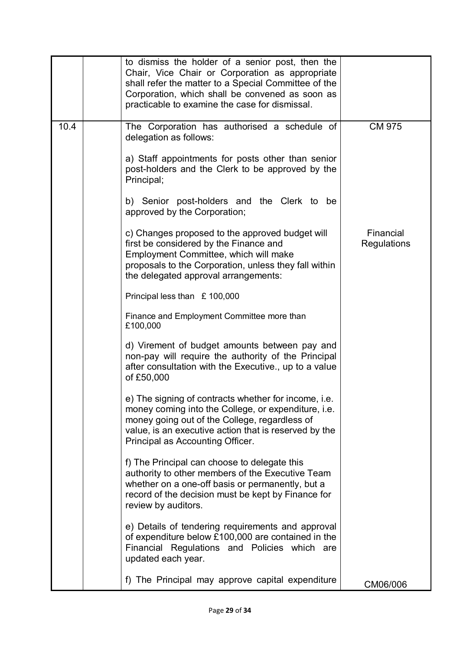|      | to dismiss the holder of a senior post, then the<br>Chair, Vice Chair or Corporation as appropriate<br>shall refer the matter to a Special Committee of the<br>Corporation, which shall be convened as soon as<br>practicable to examine the case for dismissal. |                          |
|------|------------------------------------------------------------------------------------------------------------------------------------------------------------------------------------------------------------------------------------------------------------------|--------------------------|
| 10.4 | The Corporation has authorised a schedule of<br>delegation as follows:                                                                                                                                                                                           | <b>CM 975</b>            |
|      | a) Staff appointments for posts other than senior<br>post-holders and the Clerk to be approved by the<br>Principal;                                                                                                                                              |                          |
|      | b) Senior post-holders and the Clerk to be<br>approved by the Corporation;                                                                                                                                                                                       |                          |
|      | c) Changes proposed to the approved budget will<br>first be considered by the Finance and<br>Employment Committee, which will make<br>proposals to the Corporation, unless they fall within<br>the delegated approval arrangements:                              | Financial<br>Regulations |
|      | Principal less than £ 100,000                                                                                                                                                                                                                                    |                          |
|      | Finance and Employment Committee more than<br>£100,000                                                                                                                                                                                                           |                          |
|      | d) Virement of budget amounts between pay and<br>non-pay will require the authority of the Principal<br>after consultation with the Executive., up to a value<br>of £50,000                                                                                      |                          |
|      | e) The signing of contracts whether for income. i.e.<br>money coming into the College, or expenditure, i.e.<br>money going out of the College, regardless of<br>value, is an executive action that is reserved by the<br>Principal as Accounting Officer.        |                          |
|      | f) The Principal can choose to delegate this<br>authority to other members of the Executive Team<br>whether on a one-off basis or permanently, but a<br>record of the decision must be kept by Finance for<br>review by auditors.                                |                          |
|      | e) Details of tendering requirements and approval<br>of expenditure below £100,000 are contained in the<br>Financial Regulations and Policies which are<br>updated each year.                                                                                    |                          |
|      | f) The Principal may approve capital expenditure                                                                                                                                                                                                                 | CM06/006                 |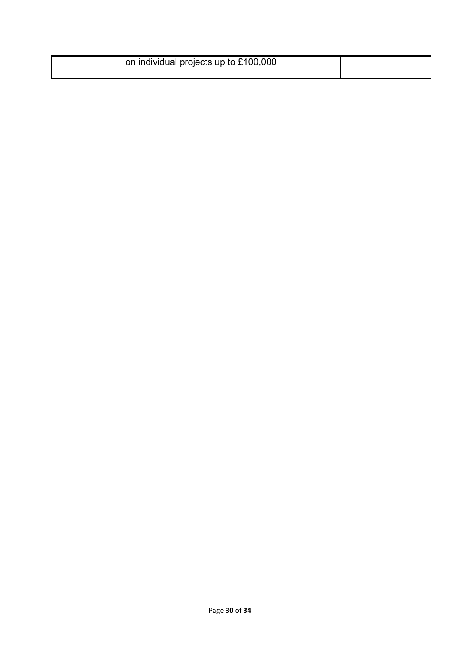|  | on individual projects up to £100,000 |  |
|--|---------------------------------------|--|
|  |                                       |  |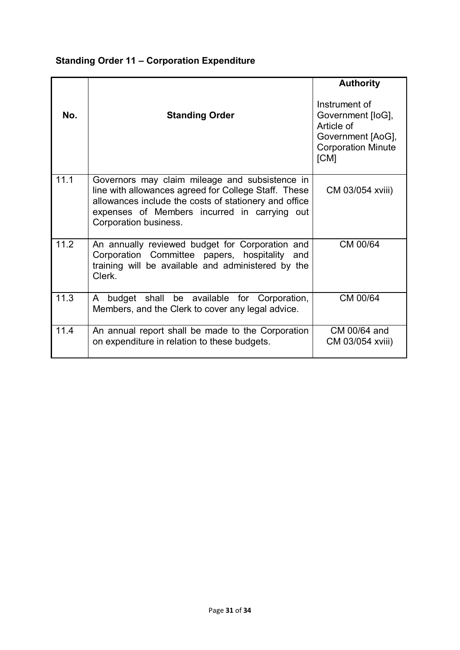### **Standing Order 11 – Corporation Expenditure**

|      |                                                                                                                                                                                                                                          | <b>Authority</b>                                                                                           |
|------|------------------------------------------------------------------------------------------------------------------------------------------------------------------------------------------------------------------------------------------|------------------------------------------------------------------------------------------------------------|
| No.  | <b>Standing Order</b>                                                                                                                                                                                                                    | Instrument of<br>Government [loG],<br>Article of<br>Government [AoG],<br><b>Corporation Minute</b><br>[CM] |
| 11.1 | Governors may claim mileage and subsistence in<br>line with allowances agreed for College Staff. These<br>allowances include the costs of stationery and office<br>expenses of Members incurred in carrying out<br>Corporation business. | CM 03/054 xviii)                                                                                           |
| 11.2 | An annually reviewed budget for Corporation and<br>Corporation Committee papers, hospitality and<br>training will be available and administered by the<br>Clerk.                                                                         | CM 00/64                                                                                                   |
| 11.3 | budget shall be available for Corporation,<br>A<br>Members, and the Clerk to cover any legal advice.                                                                                                                                     | CM 00/64                                                                                                   |
| 11.4 | An annual report shall be made to the Corporation<br>on expenditure in relation to these budgets.                                                                                                                                        | CM 00/64 and<br>CM 03/054 xviii)                                                                           |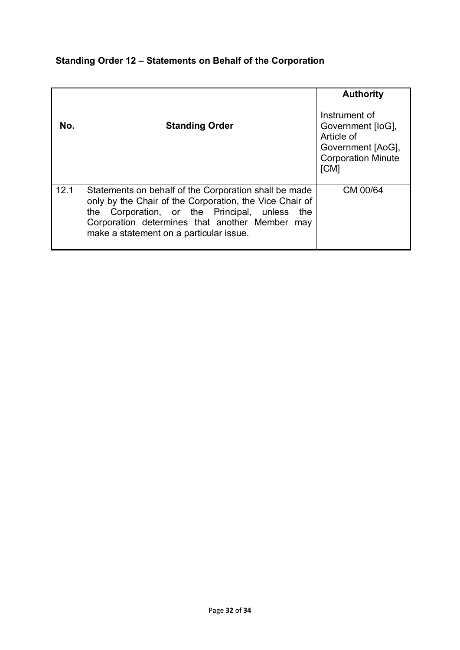### **Standing Order 12 – Statements on Behalf of the Corporation**

|      |                                                                                                                                                                                                                                                                   | <b>Authority</b>                                                                                           |
|------|-------------------------------------------------------------------------------------------------------------------------------------------------------------------------------------------------------------------------------------------------------------------|------------------------------------------------------------------------------------------------------------|
| No.  | <b>Standing Order</b>                                                                                                                                                                                                                                             | Instrument of<br>Government [loG],<br>Article of<br>Government [AoG],<br><b>Corporation Minute</b><br>[CM] |
| 12.1 | Statements on behalf of the Corporation shall be made<br>only by the Chair of the Corporation, the Vice Chair of<br>the Corporation, or the Principal, unless<br>the<br>Corporation determines that another Member may<br>make a statement on a particular issue. | CM 00/64                                                                                                   |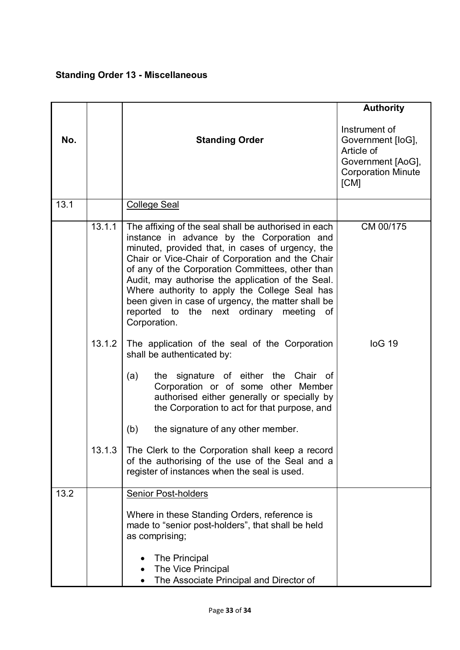## **Standing Order 13 - Miscellaneous**

|      |        |                                                                                                                                                                                                                                                                                                                                                                                                                                                                                              | <b>Authority</b>                                                                                           |
|------|--------|----------------------------------------------------------------------------------------------------------------------------------------------------------------------------------------------------------------------------------------------------------------------------------------------------------------------------------------------------------------------------------------------------------------------------------------------------------------------------------------------|------------------------------------------------------------------------------------------------------------|
| No.  |        | <b>Standing Order</b>                                                                                                                                                                                                                                                                                                                                                                                                                                                                        | Instrument of<br>Government [loG],<br>Article of<br>Government [AoG],<br><b>Corporation Minute</b><br>[CM] |
| 13.1 |        | <b>College Seal</b>                                                                                                                                                                                                                                                                                                                                                                                                                                                                          |                                                                                                            |
|      | 13.1.1 | The affixing of the seal shall be authorised in each<br>instance in advance by the Corporation and<br>minuted, provided that, in cases of urgency, the<br>Chair or Vice-Chair of Corporation and the Chair<br>of any of the Corporation Committees, other than<br>Audit, may authorise the application of the Seal.<br>Where authority to apply the College Seal has<br>been given in case of urgency, the matter shall be<br>reported to the next ordinary<br>meeting<br>of<br>Corporation. | CM 00/175                                                                                                  |
|      | 13.1.2 | The application of the seal of the Corporation<br>shall be authenticated by:<br>the signature of either the<br>(a)<br>Chair of<br>Corporation or of some other Member<br>authorised either generally or specially by<br>the Corporation to act for that purpose, and<br>the signature of any other member.<br>(b)                                                                                                                                                                            | log 19                                                                                                     |
|      | 13.1.3 | The Clerk to the Corporation shall keep a record<br>of the authorising of the use of the Seal and a<br>register of instances when the seal is used.                                                                                                                                                                                                                                                                                                                                          |                                                                                                            |
| 13.2 |        | <b>Senior Post-holders</b><br>Where in these Standing Orders, reference is<br>made to "senior post-holders", that shall be held<br>as comprising;<br>The Principal<br>The Vice Principal<br>The Associate Principal and Director of                                                                                                                                                                                                                                                          |                                                                                                            |